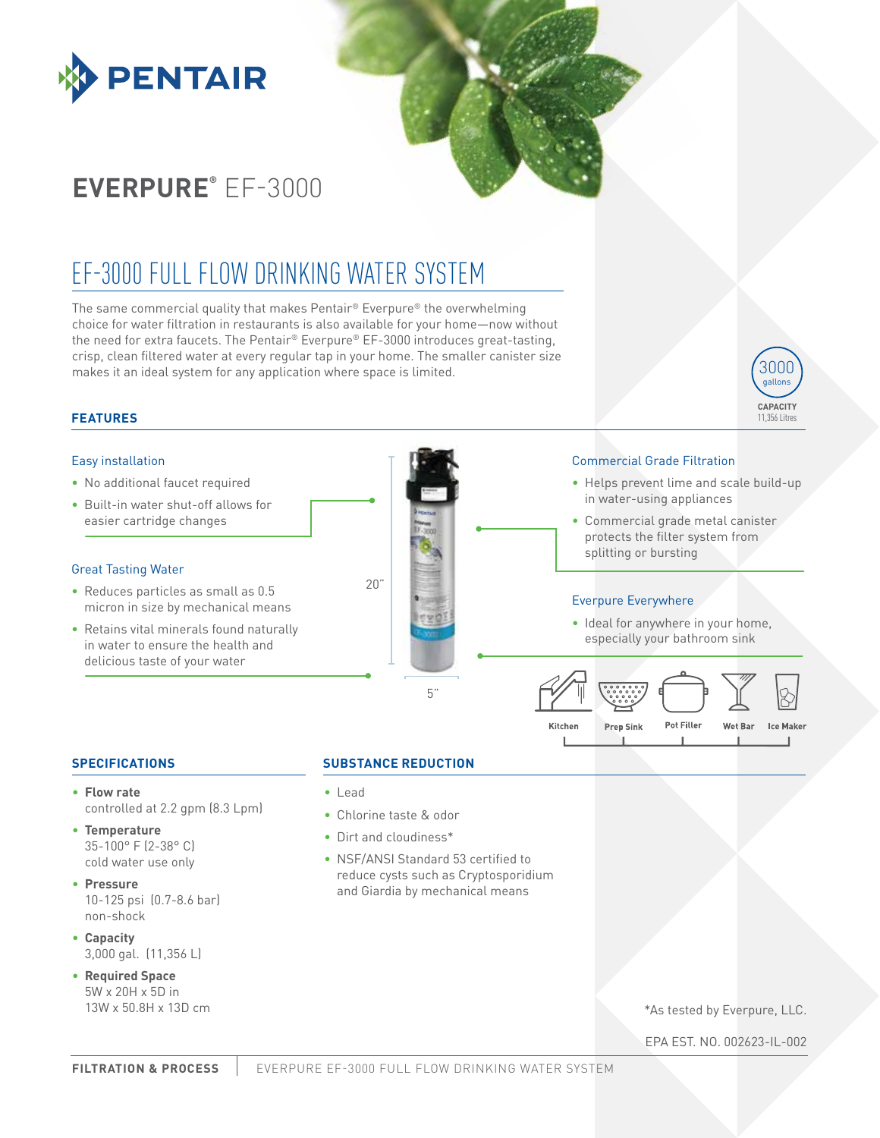

# **EVERPURE®** EF-3000

# EF-3000 FULL FLOW DRINKING WATER SYSTEM

The same commercial quality that makes Pentair® Everpure® the overwhelming choice for water filtration in restaurants is also available for your home—now without the need for extra faucets. The Pentair® Everpure® EF-3000 introduces great-tasting, crisp, clean filtered water at every regular tap in your home. The smaller canister size makes it an ideal system for any application where space is limited.

# **FEATURES**

## Easy installation

- No additional faucet required
- Built-in water shut-off allows for easier cartridge changes

#### Great Tasting Water

- Reduces particles as small as 0.5 micron in size by mechanical means
- Retains vital minerals found naturally in water to ensure the health and delicious taste of your water



### Commercial Grade Filtration

• Helps prevent lime and scale build-up in water-using appliances

**CAPACITY** 11,356 Litres

3000 gallons

• Commercial grade metal canister protects the filter system from splitting or bursting

# Everpure Everywhere

• Ideal for anywhere in your home, especially your bathroom sink



# **SPECIFICATIONS**

- **Flow rate**  controlled at 2.2 gpm (8.3 Lpm)
- **Temperature**  35-100° F (2-38° C) cold water use only
- **Pressure** 10-125 psi (0.7-8.6 bar) non-shock
- **Capacity** 3,000 gal. (11,356 L)
- **Required Space** 5W x 20H x 5D in 13W x 50.8H x 13D cm

### **SUBSTANCE REDUCTION**

- Lead
- Chlorine taste & odor
- Dirt and cloudiness\*
- NSF/ANSI Standard 53 certified to reduce cysts such as Cryptosporidium and Giardia by mechanical means

\*As tested by Everpure, LLC.

EPA EST. NO. 002623-IL-002